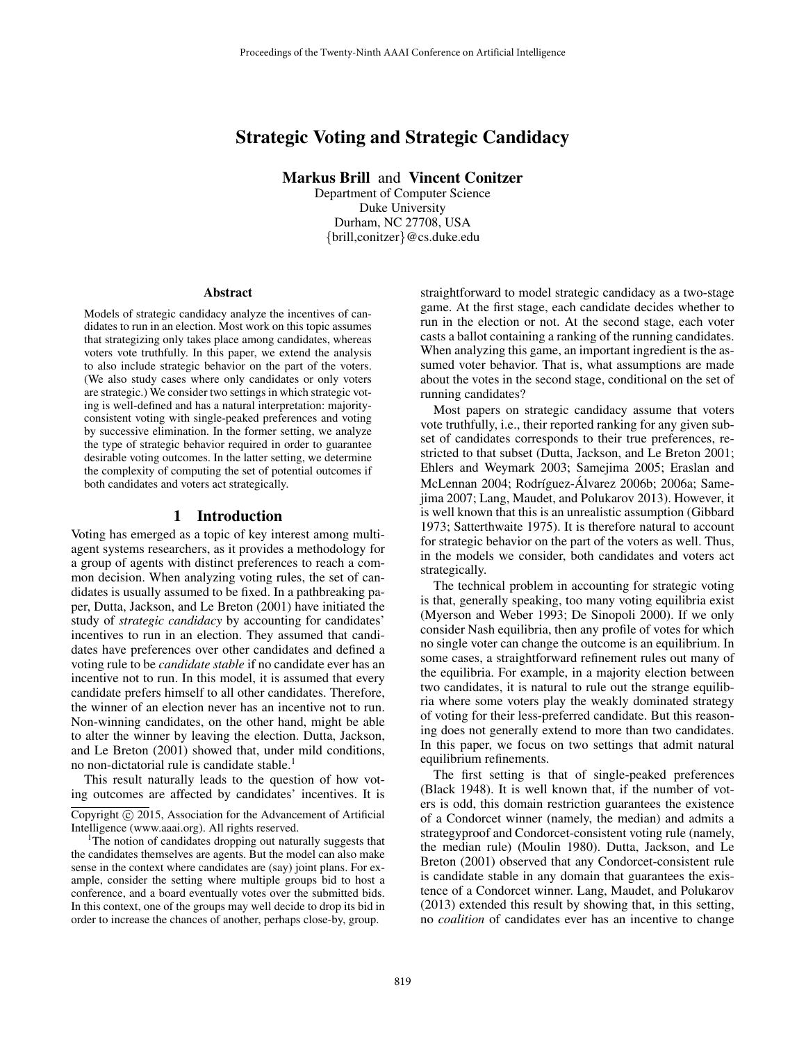# Strategic Voting and Strategic Candidacy

Markus Brill and Vincent Conitzer

Department of Computer Science Duke University Durham, NC 27708, USA {brill,conitzer}@cs.duke.edu

#### Abstract

Models of strategic candidacy analyze the incentives of candidates to run in an election. Most work on this topic assumes that strategizing only takes place among candidates, whereas voters vote truthfully. In this paper, we extend the analysis to also include strategic behavior on the part of the voters. (We also study cases where only candidates or only voters are strategic.) We consider two settings in which strategic voting is well-defined and has a natural interpretation: majorityconsistent voting with single-peaked preferences and voting by successive elimination. In the former setting, we analyze the type of strategic behavior required in order to guarantee desirable voting outcomes. In the latter setting, we determine the complexity of computing the set of potential outcomes if both candidates and voters act strategically.

### 1 Introduction

Voting has emerged as a topic of key interest among multiagent systems researchers, as it provides a methodology for a group of agents with distinct preferences to reach a common decision. When analyzing voting rules, the set of candidates is usually assumed to be fixed. In a pathbreaking paper, Dutta, Jackson, and Le Breton (2001) have initiated the study of *strategic candidacy* by accounting for candidates' incentives to run in an election. They assumed that candidates have preferences over other candidates and defined a voting rule to be *candidate stable* if no candidate ever has an incentive not to run. In this model, it is assumed that every candidate prefers himself to all other candidates. Therefore, the winner of an election never has an incentive not to run. Non-winning candidates, on the other hand, might be able to alter the winner by leaving the election. Dutta, Jackson, and Le Breton (2001) showed that, under mild conditions, no non-dictatorial rule is candidate stable.<sup>1</sup>

This result naturally leads to the question of how voting outcomes are affected by candidates' incentives. It is straightforward to model strategic candidacy as a two-stage game. At the first stage, each candidate decides whether to run in the election or not. At the second stage, each voter casts a ballot containing a ranking of the running candidates. When analyzing this game, an important ingredient is the assumed voter behavior. That is, what assumptions are made about the votes in the second stage, conditional on the set of running candidates?

Most papers on strategic candidacy assume that voters vote truthfully, i.e., their reported ranking for any given subset of candidates corresponds to their true preferences, restricted to that subset (Dutta, Jackson, and Le Breton 2001; Ehlers and Weymark 2003; Samejima 2005; Eraslan and McLennan 2004; Rodríguez-Álvarez 2006b; 2006a; Samejima 2007; Lang, Maudet, and Polukarov 2013). However, it is well known that this is an unrealistic assumption (Gibbard 1973; Satterthwaite 1975). It is therefore natural to account for strategic behavior on the part of the voters as well. Thus, in the models we consider, both candidates and voters act strategically.

The technical problem in accounting for strategic voting is that, generally speaking, too many voting equilibria exist (Myerson and Weber 1993; De Sinopoli 2000). If we only consider Nash equilibria, then any profile of votes for which no single voter can change the outcome is an equilibrium. In some cases, a straightforward refinement rules out many of the equilibria. For example, in a majority election between two candidates, it is natural to rule out the strange equilibria where some voters play the weakly dominated strategy of voting for their less-preferred candidate. But this reasoning does not generally extend to more than two candidates. In this paper, we focus on two settings that admit natural equilibrium refinements.

The first setting is that of single-peaked preferences (Black 1948). It is well known that, if the number of voters is odd, this domain restriction guarantees the existence of a Condorcet winner (namely, the median) and admits a strategyproof and Condorcet-consistent voting rule (namely, the median rule) (Moulin 1980). Dutta, Jackson, and Le Breton (2001) observed that any Condorcet-consistent rule is candidate stable in any domain that guarantees the existence of a Condorcet winner. Lang, Maudet, and Polukarov (2013) extended this result by showing that, in this setting, no *coalition* of candidates ever has an incentive to change

Copyright (c) 2015, Association for the Advancement of Artificial Intelligence (www.aaai.org). All rights reserved.

<sup>&</sup>lt;sup>1</sup>The notion of candidates dropping out naturally suggests that the candidates themselves are agents. But the model can also make sense in the context where candidates are (say) joint plans. For example, consider the setting where multiple groups bid to host a conference, and a board eventually votes over the submitted bids. In this context, one of the groups may well decide to drop its bid in order to increase the chances of another, perhaps close-by, group.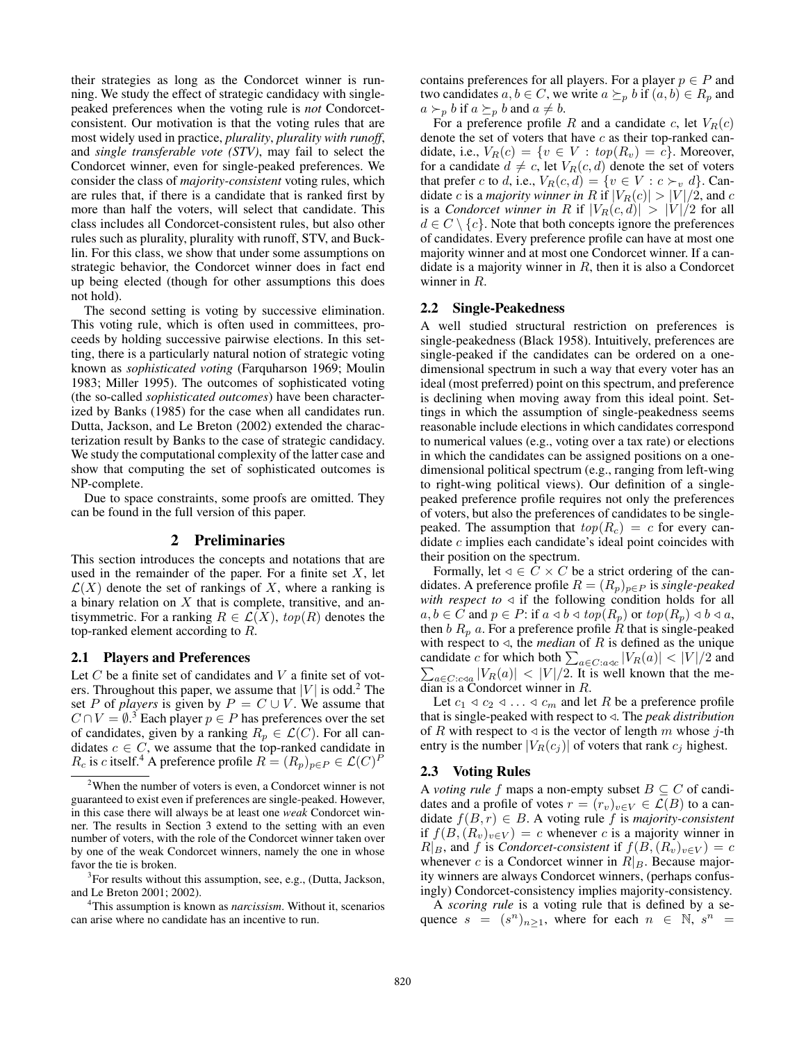their strategies as long as the Condorcet winner is running. We study the effect of strategic candidacy with singlepeaked preferences when the voting rule is *not* Condorcetconsistent. Our motivation is that the voting rules that are most widely used in practice, *plurality*, *plurality with runoff*, and *single transferable vote (STV)*, may fail to select the Condorcet winner, even for single-peaked preferences. We consider the class of *majority-consistent* voting rules, which are rules that, if there is a candidate that is ranked first by more than half the voters, will select that candidate. This class includes all Condorcet-consistent rules, but also other rules such as plurality, plurality with runoff, STV, and Bucklin. For this class, we show that under some assumptions on strategic behavior, the Condorcet winner does in fact end up being elected (though for other assumptions this does not hold).

The second setting is voting by successive elimination. This voting rule, which is often used in committees, proceeds by holding successive pairwise elections. In this setting, there is a particularly natural notion of strategic voting known as *sophisticated voting* (Farquharson 1969; Moulin 1983; Miller 1995). The outcomes of sophisticated voting (the so-called *sophisticated outcomes*) have been characterized by Banks (1985) for the case when all candidates run. Dutta, Jackson, and Le Breton (2002) extended the characterization result by Banks to the case of strategic candidacy. We study the computational complexity of the latter case and show that computing the set of sophisticated outcomes is NP-complete.

Due to space constraints, some proofs are omitted. They can be found in the full version of this paper.

#### 2 Preliminaries

This section introduces the concepts and notations that are used in the remainder of the paper. For a finite set  $X$ , let  $\mathcal{L}(X)$  denote the set of rankings of X, where a ranking is a binary relation on  $X$  that is complete, transitive, and antisymmetric. For a ranking  $R \in \mathcal{L}(X)$ ,  $top(R)$  denotes the top-ranked element according to R.

#### 2.1 Players and Preferences

Let  $C$  be a finite set of candidates and  $V$  a finite set of voters. Throughout this paper, we assume that  $|V|$  is odd.<sup>2</sup> The set P of *players* is given by  $P = C \cup V$ . We assume that  $C \cap V = \emptyset$ <sup>3</sup> Each player  $p \in P$  has preferences over the set of candidates, given by a ranking  $R_p \in \mathcal{L}(C)$ . For all candidates  $c \in C$ , we assume that the top-ranked candidate in  $R_c$  is c itself.<sup>4</sup> A preference profile  $R = (R_p)_{p \in P} \in \mathcal{L}(C)^P$ 

contains preferences for all players. For a player  $p \in P$  and two candidates  $a, b \in C$ , we write  $a \succeq_{p} b$  if  $(a, b) \in R_{p}$  and  $a \succ_p b$  if  $a \succeq_p b$  and  $a \neq b$ .

For a preference profile R and a candidate c, let  $V_R(c)$ denote the set of voters that have  $c$  as their top-ranked candidate, i.e.,  $V_R(c) = \{v \in V : top(R_v) = c\}$ . Moreover, for a candidate  $d \neq c$ , let  $V_R(c, d)$  denote the set of voters that prefer c to d, i.e.,  $V_R(c, d) = \{v \in V : c \succ_v d\}$ . Candidate c is a *majority winner in* R if  $|V_R(c)| > |V|/2$ , and c is a *Condorcet winner in* R if  $|V_R(c, d)| > |V|/2$  for all  $d \in C \setminus \{c\}$ . Note that both concepts ignore the preferences of candidates. Every preference profile can have at most one majority winner and at most one Condorcet winner. If a candidate is a majority winner in  $R$ , then it is also a Condorcet winner in R.

#### 2.2 Single-Peakedness

A well studied structural restriction on preferences is single-peakedness (Black 1958). Intuitively, preferences are single-peaked if the candidates can be ordered on a onedimensional spectrum in such a way that every voter has an ideal (most preferred) point on this spectrum, and preference is declining when moving away from this ideal point. Settings in which the assumption of single-peakedness seems reasonable include elections in which candidates correspond to numerical values (e.g., voting over a tax rate) or elections in which the candidates can be assigned positions on a onedimensional political spectrum (e.g., ranging from left-wing to right-wing political views). Our definition of a singlepeaked preference profile requires not only the preferences of voters, but also the preferences of candidates to be singlepeaked. The assumption that  $top(R_c) = c$  for every candidate c implies each candidate's ideal point coincides with their position on the spectrum.

Formally, let  $\triangleleft \in C \times C$  be a strict ordering of the candidates. A preference profile  $R = (R_p)_{p \in P}$  is *single-peaked with respect to*  $\triangleleft$  if the following condition holds for all  $a, b \in C$  and  $p \in P$ : if  $a \triangleleft b \triangleleft top(R_p)$  or  $top(R_p) \triangleleft b \triangleleft a$ , then b  $R_p$  a. For a preference profile  $\hat{R}$  that is single-peaked with respect to  $\triangleleft$ , the *median* of R is defined as the unique candidate c for which both  $\sum_{a \in C: a \triangleleft c} |V_R(a)| < |V|/2$  and  $\sum_{a \in C: c \triangleleft c} |V_R(a)| < |V|/2$ . It is well known that the me- $_{a\in C:\text{c}  $|V_R(a)| < |V|/2$ . It is well known that the me$ dian is a Condorcet winner in R.

Let  $c_1 \triangleleft c_2 \triangleleft \ldots \triangleleft c_m$  and let R be a preference profile that is single-peaked with respect to  $\triangleleft$ . The *peak distribution* of R with respect to  $\triangleleft$  is the vector of length m whose j-th entry is the number  $|V_R(c_j)|$  of voters that rank  $c_j$  highest.

#### 2.3 Voting Rules

A *voting rule* f maps a non-empty subset  $B \subseteq C$  of candidates and a profile of votes  $r = (r_v)_{v \in V} \in \mathcal{L}(B)$  to a candidate  $f(B, r) \in B$ . A voting rule f is *majority-consistent* if  $f(B,(R_v)_{v\in V}) = c$  whenever c is a majority winner in  $R|_B$ , and f is *Condorcet-consistent* if  $f(B,(R_v)_{v\in V})=c$ whenever c is a Condorcet winner in  $R|_B$ . Because majority winners are always Condorcet winners, (perhaps confusingly) Condorcet-consistency implies majority-consistency.

A *scoring rule* is a voting rule that is defined by a sequence  $s = (s^n)_{n \geq 1}$ , where for each  $n \in \mathbb{N}$ ,  $s^n =$ 

<sup>&</sup>lt;sup>2</sup>When the number of voters is even, a Condorcet winner is not guaranteed to exist even if preferences are single-peaked. However, in this case there will always be at least one *weak* Condorcet winner. The results in Section 3 extend to the setting with an even number of voters, with the role of the Condorcet winner taken over by one of the weak Condorcet winners, namely the one in whose favor the tie is broken.

<sup>&</sup>lt;sup>3</sup>For results without this assumption, see, e.g., (Dutta, Jackson, and Le Breton 2001; 2002).

<sup>4</sup>This assumption is known as *narcissism*. Without it, scenarios can arise where no candidate has an incentive to run.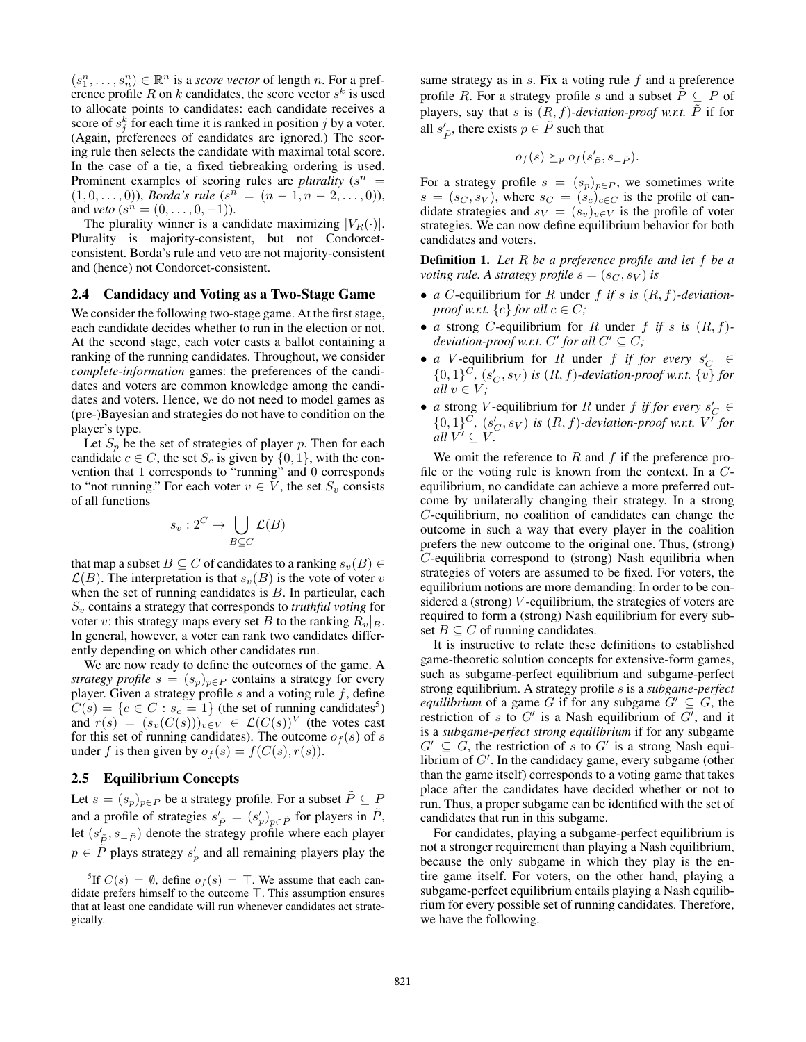$(s_1^n, \ldots, s_n^n) \in \mathbb{R}^n$  is a *score vector* of length *n*. For a preference profile R on k candidates, the score vector  $s^k$  is used to allocate points to candidates: each candidate receives a score of  $s_j^k$  for each time it is ranked in position j by a voter. (Again, preferences of candidates are ignored.) The scoring rule then selects the candidate with maximal total score. In the case of a tie, a fixed tiebreaking ordering is used. Prominent examples of scoring rules are *plurality*  $(s^n)$  $(1,0,\ldots,0)$ , *Borda's rule*  $(s^n = (n-1,n-2,\ldots,0))$ , and *veto*  $(s^n = (0, \ldots, 0, -1)).$ 

The plurality winner is a candidate maximizing  $|V_R(\cdot)|$ . Plurality is majority-consistent, but not Condorcetconsistent. Borda's rule and veto are not majority-consistent and (hence) not Condorcet-consistent.

#### 2.4 Candidacy and Voting as a Two-Stage Game

We consider the following two-stage game. At the first stage, each candidate decides whether to run in the election or not. At the second stage, each voter casts a ballot containing a ranking of the running candidates. Throughout, we consider *complete-information* games: the preferences of the candidates and voters are common knowledge among the candidates and voters. Hence, we do not need to model games as (pre-)Bayesian and strategies do not have to condition on the player's type.

Let  $S_p$  be the set of strategies of player p. Then for each candidate  $c \in C$ , the set  $S_c$  is given by  $\{0, 1\}$ , with the convention that 1 corresponds to "running" and 0 corresponds to "not running." For each voter  $v \in V$ , the set  $S_v$  consists of all functions

$$
s_v: 2^C \to \bigcup_{B \subseteq C} \mathcal{L}(B)
$$

that map a subset  $B \subseteq C$  of candidates to a ranking  $s_v(B) \in$  $\mathcal{L}(B)$ . The interpretation is that  $s_v(B)$  is the vote of voter v when the set of running candidates is  $B$ . In particular, each S<sub>v</sub> contains a strategy that corresponds to *truthful voting* for voter v: this strategy maps every set B to the ranking  $R_v|_{B}$ . In general, however, a voter can rank two candidates differently depending on which other candidates run.

We are now ready to define the outcomes of the game. A *strategy profile*  $s = (s_p)_{p \in P}$  contains a strategy for every player. Given a strategy profile  $s$  and a voting rule  $f$ , define  $C(s) = \{c \in C : s_c = 1\}$  (the set of running candidates<sup>5</sup>) and  $r(s) = (s_v(C(s)))_{v \in V} \in \mathcal{L}(C(s))^V$  (the votes cast for this set of running candidates). The outcome  $o_f(s)$  of s under f is then given by  $o_f(s) = f(C(s), r(s))$ .

### 2.5 Equilibrium Concepts

Let  $s = (s_p)_{p \in P}$  be a strategy profile. For a subset  $\tilde{P} \subseteq P$ and a profile of strategies  $s'_{\tilde{P}} = (s'_{p})_{p \in \tilde{P}}$  for players in  $\tilde{P}$ , let  $(s'_{\tilde{P}}, s_{-\tilde{P}})$  denote the strategy profile where each player  $p \in \tilde{P}$  plays strategy  $s_p'$  and all remaining players play the

same strategy as in  $s$ . Fix a voting rule  $f$  and a preference profile R. For a strategy profile s and a subset  $\tilde{P} \subseteq P$  of players, say that s is  $(R, f)$ *-deviation-proof w.r.t.*  $\tilde{P}$  if for all  $s'_{\tilde{P}}$ , there exists  $p \in \tilde{P}$  such that

$$
o_f(s) \succeq_p o_f(s'_{\tilde{P}}, s_{-\tilde{P}}).
$$

For a strategy profile  $s = (s_p)_{p \in P}$ , we sometimes write  $s = (s_C, s_V)$ , where  $s_C = (s_c)_{c \in C}$  is the profile of candidate strategies and  $s_V = (s_v)_{v \in V}$  is the profile of voter strategies. We can now define equilibrium behavior for both candidates and voters.

Definition 1. *Let* R *be a preference profile and let* f *be a voting rule.* A strategy profile  $s = (s_C, s_V)$  is

- *a C*-equilibrium for *R* under *f* if *s* is  $(R, f)$ -deviation*proof w.r.t.*  $\{c\}$  *for all*  $c \in C$ *;*
- *a* strong *C*-equilibrium for *R* under  $f$  *if*  $s$  *is*  $(R, f)$  $deviation\text{-}proof w.r.t. C' for all C' \subseteq C;$
- *a* V-equilibrium for *R* under *f* if for every  $s_C \in$  $\{0,1\}^C$ ,  $(s_C', s_V)$  *is*  $(R, f)$ -deviation-proof w.r.t.  $\{v\}$  for *all*  $v \in V$ ;
- *a* strong *V*-equilibrium for *R* under *f* if for every  $s_C \in$  $\{0,1\}^C$ ,  $(s_C, s_V)$  *is*  $(R, f)$ -deviation-proof w.r.t.  $V'$  for  $\partial$ *all*  $V' \subseteq V$ .

We omit the reference to R and f if the preference profile or the voting rule is known from the context. In a  $C$ equilibrium, no candidate can achieve a more preferred outcome by unilaterally changing their strategy. In a strong C-equilibrium, no coalition of candidates can change the outcome in such a way that every player in the coalition prefers the new outcome to the original one. Thus, (strong) C-equilibria correspond to (strong) Nash equilibria when strategies of voters are assumed to be fixed. For voters, the equilibrium notions are more demanding: In order to be considered a (strong)  $V$ -equilibrium, the strategies of voters are required to form a (strong) Nash equilibrium for every subset  $B \subseteq C$  of running candidates.

It is instructive to relate these definitions to established game-theoretic solution concepts for extensive-form games, such as subgame-perfect equilibrium and subgame-perfect strong equilibrium. A strategy profile s is a *subgame-perfect equilibrium* of a game G if for any subgame  $G' \subseteq G$ , the restriction of  $s$  to  $G'$  is a Nash equilibrium of  $G'$ , and it is a *subgame-perfect strong equilibrium* if for any subgame  $G' \subseteq G$ , the restriction of s to  $G'$  is a strong Nash equilibrium of  $G'$ . In the candidacy game, every subgame (other than the game itself) corresponds to a voting game that takes place after the candidates have decided whether or not to run. Thus, a proper subgame can be identified with the set of candidates that run in this subgame.

For candidates, playing a subgame-perfect equilibrium is not a stronger requirement than playing a Nash equilibrium, because the only subgame in which they play is the entire game itself. For voters, on the other hand, playing a subgame-perfect equilibrium entails playing a Nash equilibrium for every possible set of running candidates. Therefore, we have the following.

<sup>&</sup>lt;sup>5</sup>If  $C(s) = \emptyset$ , define  $o_f(s) = \top$ . We assume that each candidate prefers himself to the outcome  $\top$ . This assumption ensures that at least one candidate will run whenever candidates act strategically.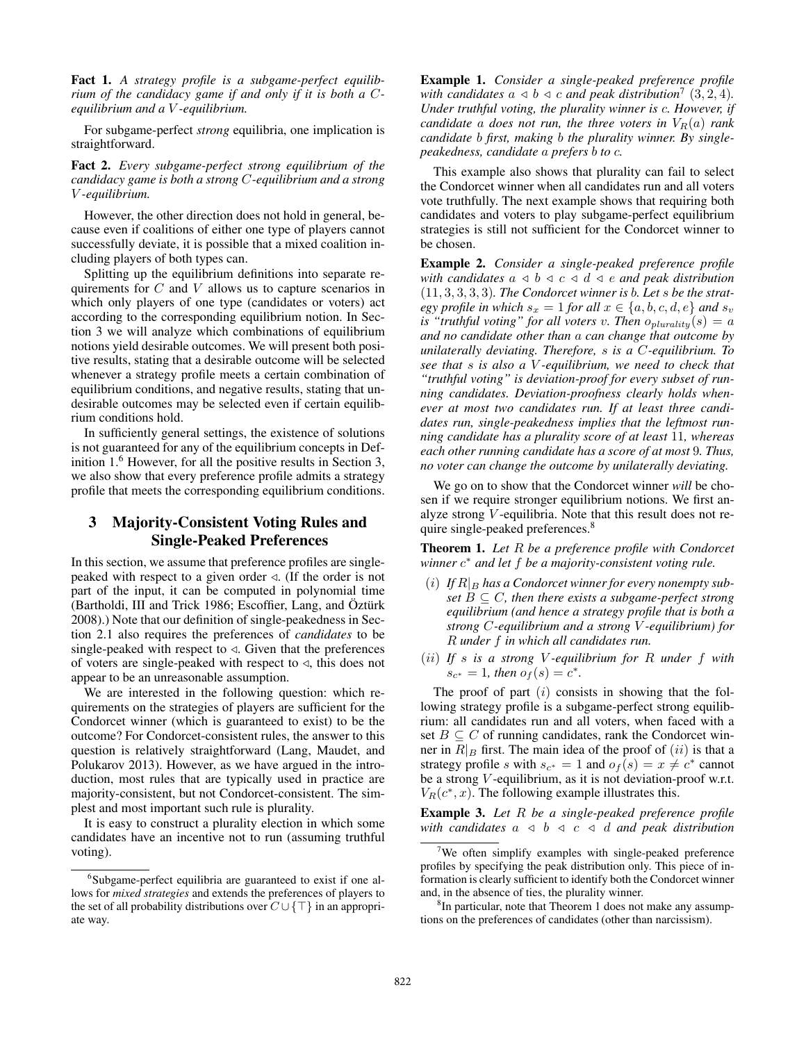Fact 1. *A strategy profile is a subgame-perfect equilibrium of the candidacy game if and only if it is both a* C*equilibrium and a* V *-equilibrium.*

For subgame-perfect *strong* equilibria, one implication is straightforward.

Fact 2. *Every subgame-perfect strong equilibrium of the candidacy game is both a strong* C*-equilibrium and a strong* V *-equilibrium.*

However, the other direction does not hold in general, because even if coalitions of either one type of players cannot successfully deviate, it is possible that a mixed coalition including players of both types can.

Splitting up the equilibrium definitions into separate requirements for C and V allows us to capture scenarios in which only players of one type (candidates or voters) act according to the corresponding equilibrium notion. In Section 3 we will analyze which combinations of equilibrium notions yield desirable outcomes. We will present both positive results, stating that a desirable outcome will be selected whenever a strategy profile meets a certain combination of equilibrium conditions, and negative results, stating that undesirable outcomes may be selected even if certain equilibrium conditions hold.

In sufficiently general settings, the existence of solutions is not guaranteed for any of the equilibrium concepts in Definition 1.<sup>6</sup> However, for all the positive results in Section 3, we also show that every preference profile admits a strategy profile that meets the corresponding equilibrium conditions.

# 3 Majority-Consistent Voting Rules and Single-Peaked Preferences

In this section, we assume that preference profiles are singlepeaked with respect to a given order  $\triangleleft$ . (If the order is not part of the input, it can be computed in polynomial time (Bartholdi, III and Trick 1986; Escoffier, Lang, and Öztürk 2008).) Note that our definition of single-peakedness in Section 2.1 also requires the preferences of *candidates* to be single-peaked with respect to  $\triangleleft$ . Given that the preferences of voters are single-peaked with respect to  $\triangleleft$ , this does not appear to be an unreasonable assumption.

We are interested in the following question: which requirements on the strategies of players are sufficient for the Condorcet winner (which is guaranteed to exist) to be the outcome? For Condorcet-consistent rules, the answer to this question is relatively straightforward (Lang, Maudet, and Polukarov 2013). However, as we have argued in the introduction, most rules that are typically used in practice are majority-consistent, but not Condorcet-consistent. The simplest and most important such rule is plurality.

It is easy to construct a plurality election in which some candidates have an incentive not to run (assuming truthful voting).

Example 1. *Consider a single-peaked preference profile* with candidates  $a \triangleleft b \triangleleft c$  and peak distribution<sup>7</sup> (3, 2, 4). *Under truthful voting, the plurality winner is* c*. However, if candidate* a *does not run, the three voters in*  $V_R(a)$  *rank candidate* b *first, making* b *the plurality winner. By singlepeakedness, candidate* a *prefers* b *to* c*.*

This example also shows that plurality can fail to select the Condorcet winner when all candidates run and all voters vote truthfully. The next example shows that requiring both candidates and voters to play subgame-perfect equilibrium strategies is still not sufficient for the Condorcet winner to be chosen.

Example 2. *Consider a single-peaked preference profile with candidates*  $a \triangleleft b \triangleleft c \triangleleft d \triangleleft e$  *and peak distribution* (11, 3, 3, 3, 3)*. The Condorcet winner is* b*. Let* s *be the strategy profile in which*  $s_x = 1$  *for all*  $x \in \{a, b, c, d, e\}$  *and*  $s_y$ *is "truthful voting" for all voters v. Then*  $o_{\text{plurality}}(s) = a$ *and no candidate other than* a *can change that outcome by unilaterally deviating. Therefore,* s *is a* C*-equilibrium. To see that* s *is also a* V *-equilibrium, we need to check that "truthful voting" is deviation-proof for every subset of running candidates. Deviation-proofness clearly holds whenever at most two candidates run. If at least three candidates run, single-peakedness implies that the leftmost running candidate has a plurality score of at least* 11*, whereas each other running candidate has a score of at most* 9*. Thus, no voter can change the outcome by unilaterally deviating.*

We go on to show that the Condorcet winner *will* be chosen if we require stronger equilibrium notions. We first analyze strong V -equilibria. Note that this result does not require single-peaked preferences.<sup>8</sup>

Theorem 1. *Let* R *be a preference profile with Condorcet winner* c <sup>∗</sup> *and let* f *be a majority-consistent voting rule.*

- $(i)$  If  $R|_B$  has a Condorcet winner for every nonempty sub*set*  $B \subseteq C$ *, then there exists a subgame-perfect strong equilibrium (and hence a strategy profile that is both a strong* C*-equilibrium and a strong* V *-equilibrium) for* R *under* f *in which all candidates run.*
- (ii) *If* s *is a strong* V *-equilibrium for* R *under* f *with*  $s_{c^*} = 1$ *, then*  $o_f(s) = c^*$ *.*

The proof of part  $(i)$  consists in showing that the following strategy profile is a subgame-perfect strong equilibrium: all candidates run and all voters, when faced with a set  $B \subseteq C$  of running candidates, rank the Condorcet winner in  $R|_B$  first. The main idea of the proof of  $(ii)$  is that a strategy profile s with  $s_{c^*} = 1$  and  $o_f(s) = x \neq c^*$  cannot be a strong *V*-equilibrium, as it is not deviation-proof w.r.t.  $V_R(c^*, x)$ . The following example illustrates this.

Example 3. *Let* R *be a single-peaked preference profile with candidates*  $a \leq b \leq c \leq d$  *and peak distribution* 

<sup>6</sup> Subgame-perfect equilibria are guaranteed to exist if one allows for *mixed strategies* and extends the preferences of players to the set of all probability distributions over  $C \cup \{\top\}$  in an appropriate way.

 $7$ We often simplify examples with single-peaked preference profiles by specifying the peak distribution only. This piece of information is clearly sufficient to identify both the Condorcet winner and, in the absence of ties, the plurality winner.

<sup>&</sup>lt;sup>8</sup>In particular, note that Theorem 1 does not make any assumptions on the preferences of candidates (other than narcissism).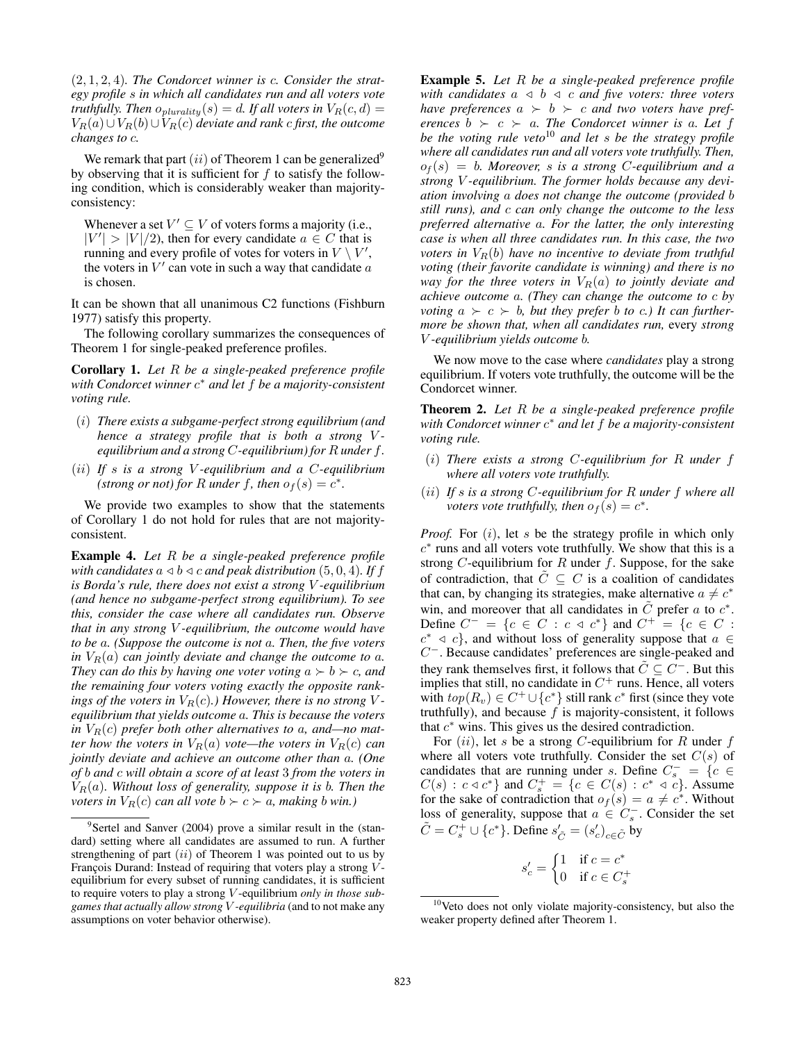(2, 1, 2, 4)*. The Condorcet winner is* c*. Consider the strategy profile* s *in which all candidates run and all voters vote truthfully. Then*  $o_{plurality}(s) = d$ . If all voters in  $V_R(c, d) =$  $V_R(a) \cup V_R(b) \cup V_R(c)$  *deviate and rank c first, the outcome changes to* c*.*

We remark that part  $(ii)$  of Theorem 1 can be generalized<sup>9</sup> by observing that it is sufficient for  $f$  to satisfy the following condition, which is considerably weaker than majorityconsistency:

Whenever a set  $V' \subseteq V$  of voters forms a majority (i.e.,  $|V'| > |V|/2$ , then for every candidate  $a \in C$  that is running and every profile of votes for voters in  $V \setminus V'$ , the voters in  $V'$  can vote in such a way that candidate  $a$ is chosen.

It can be shown that all unanimous C2 functions (Fishburn 1977) satisfy this property.

The following corollary summarizes the consequences of Theorem 1 for single-peaked preference profiles.

Corollary 1. *Let* R *be a single-peaked preference profile with Condorcet winner* c <sup>∗</sup> *and let* f *be a majority-consistent voting rule.*

- (i) *There exists a subgame-perfect strong equilibrium (and hence a strategy profile that is both a strong Vequilibrium and a strong* C*-equilibrium) for* R *under* f*.*
- (ii) *If* s *is a strong* V *-equilibrium and a* C*-equilibrium (strong or not) for* R *under* f, then  $o_f(s) = c^*$ .

We provide two examples to show that the statements of Corollary 1 do not hold for rules that are not majorityconsistent.

Example 4. *Let* R *be a single-peaked preference profile with candidates*  $a \triangleleft b \triangleleft c$  *and peak distribution* (5, 0, 4)*.* If f *is Borda's rule, there does not exist a strong* V *-equilibrium (and hence no subgame-perfect strong equilibrium). To see this, consider the case where all candidates run. Observe that in any strong* V *-equilibrium, the outcome would have to be* a*. (Suppose the outcome is not* a*. Then, the five voters in*  $V_R(a)$  *can jointly deviate and change the outcome to a. They can do this by having one voter voting*  $a \succ b \succ c$ , and *the remaining four voters voting exactly the opposite rankings of the voters in*  $V_R(c)$ *.) However, there is no strong Vequilibrium that yields outcome* a*. This is because the voters* in  $V_R(c)$  prefer both other alternatives to a, and—no mat*ter how the voters in*  $V_R(a)$  *vote—the voters in*  $V_R(c)$  *can jointly deviate and achieve an outcome other than* a*. (One of* b *and* c *will obtain a score of at least* 3 *from the voters in*  $V_R(a)$ *. Without loss of generality, suppose it is b. Then the voters in*  $V_R(c)$  *can all vote*  $b \succ c \succ a$ *, making b win.*)

Example 5. *Let* R *be a single-peaked preference profile with candidates*  $a \leq b \leq c$  *and five voters: three voters have preferences*  $a > b > c$  *and two voters have preferences*  $b \succ c \succ a$ *. The Condorcet winner is a. Let* f *be the voting rule veto*<sup>10</sup> *and let* s *be the strategy profile where all candidates run and all voters vote truthfully. Then,*  $o_f(s) = b$ *. Moreover, s is a strong C-equilibrium and a strong* V *-equilibrium. The former holds because any deviation involving* a *does not change the outcome (provided* b *still runs), and* c *can only change the outcome to the less preferred alternative* a*. For the latter, the only interesting case is when all three candidates run. In this case, the two voters in*  $V_R(b)$  *have no incentive to deviate from truthful voting (their favorite candidate is winning) and there is no way for the three voters in*  $V_R(a)$  *to jointly deviate and achieve outcome* a*. (They can change the outcome to* c *by voting*  $a \succ c \succ b$ , but they prefer b to c.) It can further*more be shown that, when all candidates run,* every *strong* V *-equilibrium yields outcome* b*.*

We now move to the case where *candidates* play a strong equilibrium. If voters vote truthfully, the outcome will be the Condorcet winner.

Theorem 2. *Let* R *be a single-peaked preference profile with Condorcet winner* c <sup>∗</sup> *and let* f *be a majority-consistent voting rule.*

- (i) *There exists a strong* C*-equilibrium for* R *under* f *where all voters vote truthfully.*
- (ii) *If* s *is a strong* C*-equilibrium for* R *under* f *where all voters vote truthfully, then*  $o_f(s) = c^*$ .

*Proof.* For  $(i)$ , let s be the strategy profile in which only  $c^*$  runs and all voters vote truthfully. We show that this is a strong  $C$ -equilibrium for  $R$  under  $f$ . Suppose, for the sake of contradiction, that  $\tilde{C} \subseteq C$  is a coalition of candidates that can, by changing its strategies, make alternative  $a \neq c^*$ win, and moreover that all candidates in  $\tilde{C}$  prefer a to  $c^*$ . Define  $C^- = \{c \in C : c \triangleleft c^*\}$  and  $C^+ = \{c \in C : c \triangleleft c^*\}$  $c^* \triangleleft c$ , and without loss of generality suppose that  $a \in$ C <sup>−</sup>. Because candidates' preferences are single-peaked and they rank themselves first, it follows that  $\tilde{C} \subseteq C^-$ . But this implies that still, no candidate in  $C^+$  runs. Hence, all voters with  $top(R_v) \in C^+ \cup \{c^*\}$  still rank  $c^*$  first (since they vote truthfully), and because  $f$  is majority-consistent, it follows that  $c^*$  wins. This gives us the desired contradiction.

For  $(ii)$ , let s be a strong C-equilibrium for R under f where all voters vote truthfully. Consider the set  $C(s)$  of candidates that are running under s. Define  $C_s^- = \{c \in$  $C(s) : c \triangleleft c^*$  and  $C_s^+ = \{c \in C(s) : c^* \triangleleft c\}$ . Assume for the sake of contradiction that  $o_f(s) = a \neq c^*$ . Without loss of generality, suppose that  $a \in C_s^-$ . Consider the set  $\tilde{C} = C_s^+ \cup \{c^*\}$ . Define  $s'_{\tilde{C}} = (s'_c)_{c \in \tilde{C}}$  by

$$
s'_c = \begin{cases} 1 & \text{if } c = c^* \\ 0 & \text{if } c \in C_s^+ \end{cases}
$$

<sup>&</sup>lt;sup>9</sup>Sertel and Sanver (2004) prove a similar result in the (standard) setting where all candidates are assumed to run. A further strengthening of part  $(ii)$  of Theorem 1 was pointed out to us by François Durand: Instead of requiring that voters play a strong  $V$ equilibrium for every subset of running candidates, it is sufficient to require voters to play a strong V -equilibrium *only in those subgames that actually allow strong* V *-equilibria* (and to not make any assumptions on voter behavior otherwise).

 $10$ Veto does not only violate majority-consistency, but also the weaker property defined after Theorem 1.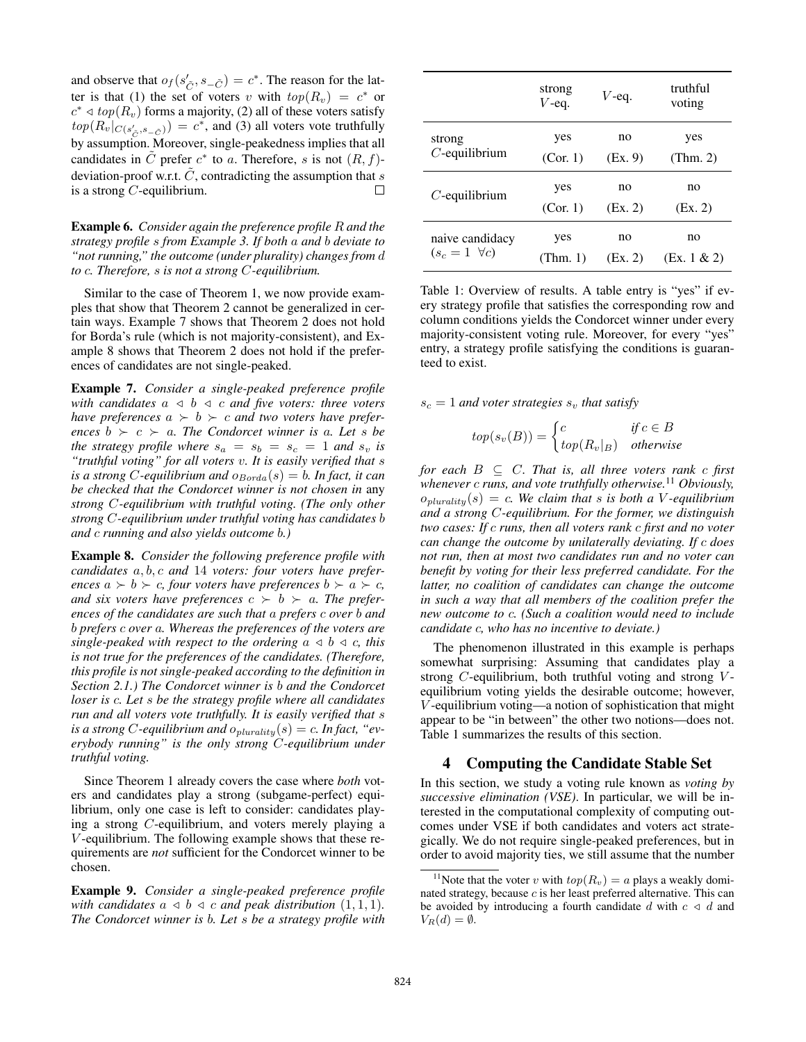and observe that  $o_f(s'_{\tilde{C}}, s_{\tilde{-C}}) = c^*$ . The reason for the latter is that (1) the set of voters v with  $top(R_v) = c^*$  or  $c^* \triangleleft top(R_v)$  forms a majority, (2) all of these voters satisfy  $top(R_v|_{C(s'_{\tilde{C}}, s_{-\tilde{C}})}) = c^*$ , and (3) all voters vote truthfully by assumption. Moreover, single-peakedness implies that all candidates in  $\tilde{C}$  prefer  $c^*$  to a. Therefore, s is not  $(R, f)$ deviation-proof w.r.t.  $\tilde{C}$ , contradicting the assumption that s is a strong  $C$ -equilibrium.  $\Box$ 

Example 6. *Consider again the preference profile* R *and the strategy profile* s *from Example 3. If both* a *and* b *deviate to "not running," the outcome (under plurality) changes from* d *to* c*. Therefore,* s *is not a strong* C*-equilibrium.*

Similar to the case of Theorem 1, we now provide examples that show that Theorem 2 cannot be generalized in certain ways. Example 7 shows that Theorem 2 does not hold for Borda's rule (which is not majority-consistent), and Example 8 shows that Theorem 2 does not hold if the preferences of candidates are not single-peaked.

Example 7. *Consider a single-peaked preference profile with candidates*  $a \leq b \leq c$  *and five voters: three voters have preferences*  $a \succ b \succ c$  *and two voters have preferences*  $b \succ c \succ a$ *. The Condorcet winner is a. Let s be the strategy profile where*  $s_a = s_b = s_c = 1$  *and*  $s_v$  *is "truthful voting" for all voters* v*. It is easily verified that* s *is a strong C*-equilibrium and  $o_{Borda}(s) = b$ *. In fact, it can be checked that the Condorcet winner is not chosen in* any *strong* C*-equilibrium with truthful voting. (The only other strong* C*-equilibrium under truthful voting has candidates* b *and* c *running and also yields outcome* b*.)*

Example 8. *Consider the following preference profile with candidates* a, b, c *and* 14 *voters: four voters have preferences*  $a \succ b \succ c$ , four voters have preferences  $b \succ a \succ c$ , *and six voters have preferences*  $c > b > a$ . The prefer*ences of the candidates are such that* a *prefers* c *over* b *and* b *prefers* c *over* a*. Whereas the preferences of the voters are single-peaked with respect to the ordering*  $a \triangleleft b \triangleleft c$ *, this is not true for the preferences of the candidates. (Therefore, this profile is not single-peaked according to the definition in Section 2.1.) The Condorcet winner is* b *and the Condorcet loser is* c*. Let* s *be the strategy profile where all candidates run and all voters vote truthfully. It is easily verified that* s *is a strong C-equilibrium and*  $o_{\text{plurality}}(s) = c$ . In fact, "ev*erybody running" is the only strong* C*-equilibrium under truthful voting.*

Since Theorem 1 already covers the case where *both* voters and candidates play a strong (subgame-perfect) equilibrium, only one case is left to consider: candidates playing a strong C-equilibrium, and voters merely playing a V -equilibrium. The following example shows that these requirements are *not* sufficient for the Condorcet winner to be chosen.

Example 9. *Consider a single-peaked preference profile with candidates*  $a \triangleleft b \triangleleft c$  *and peak distribution*  $(1, 1, 1)$ *. The Condorcet winner is* b*. Let* s *be a strategy profile with*

|                         | strong<br>$V$ -eq. | $V$ -eq. | truthful<br>voting |
|-------------------------|--------------------|----------|--------------------|
| strong                  | yes                | no       | yes                |
| $C$ -equilibrium        | (Cor. 1)           | (EX. 9)  | (Thm. 2)           |
| $C$ -equilibrium        | yes                | no       | no                 |
|                         | (Cor. 1)           | (EX. 2)  | (EX. 2)            |
| naive candidacy         | yes                | no       | no                 |
| $(s_c = 1 \ \forall c)$ | (Thm. 1)           | (EX. 2)  | (Ex. 1 & 2)        |

Table 1: Overview of results. A table entry is "yes" if every strategy profile that satisfies the corresponding row and column conditions yields the Condorcet winner under every majority-consistent voting rule. Moreover, for every "yes" entry, a strategy profile satisfying the conditions is guaranteed to exist.

 $s_c = 1$  *and voter strategies*  $s_v$  *that satisfy* 

$$
top(s_v(B)) = \begin{cases} c & \text{if } c \in B \\ top(R_v|_B) & \text{otherwise} \end{cases}
$$

*for each*  $B \subseteq C$ *. That is, all three voters rank c first whenever* c *runs, and vote truthfully otherwise.*<sup>11</sup> *Obviously,*  $o_{\text{plurality}}(s) = c$ . We claim that *s* is both a V-equilibrium *and a strong* C*-equilibrium. For the former, we distinguish two cases: If* c *runs, then all voters rank* c *first and no voter can change the outcome by unilaterally deviating. If* c *does not run, then at most two candidates run and no voter can benefit by voting for their less preferred candidate. For the latter, no coalition of candidates can change the outcome in such a way that all members of the coalition prefer the new outcome to* c*. (Such a coalition would need to include candidate* c*, who has no incentive to deviate.)*

The phenomenon illustrated in this example is perhaps somewhat surprising: Assuming that candidates play a strong  $C$ -equilibrium, both truthful voting and strong  $V$ equilibrium voting yields the desirable outcome; however, V -equilibrium voting—a notion of sophistication that might appear to be "in between" the other two notions—does not. Table 1 summarizes the results of this section.

### 4 Computing the Candidate Stable Set

In this section, we study a voting rule known as *voting by successive elimination (VSE)*. In particular, we will be interested in the computational complexity of computing outcomes under VSE if both candidates and voters act strategically. We do not require single-peaked preferences, but in order to avoid majority ties, we still assume that the number

<sup>&</sup>lt;sup>11</sup>Note that the voter v with  $top(R_v) = a$  plays a weakly dominated strategy, because  $c$  is her least preferred alternative. This can be avoided by introducing a fourth candidate d with  $c \triangleleft d$  and  $V_R(d) = \emptyset.$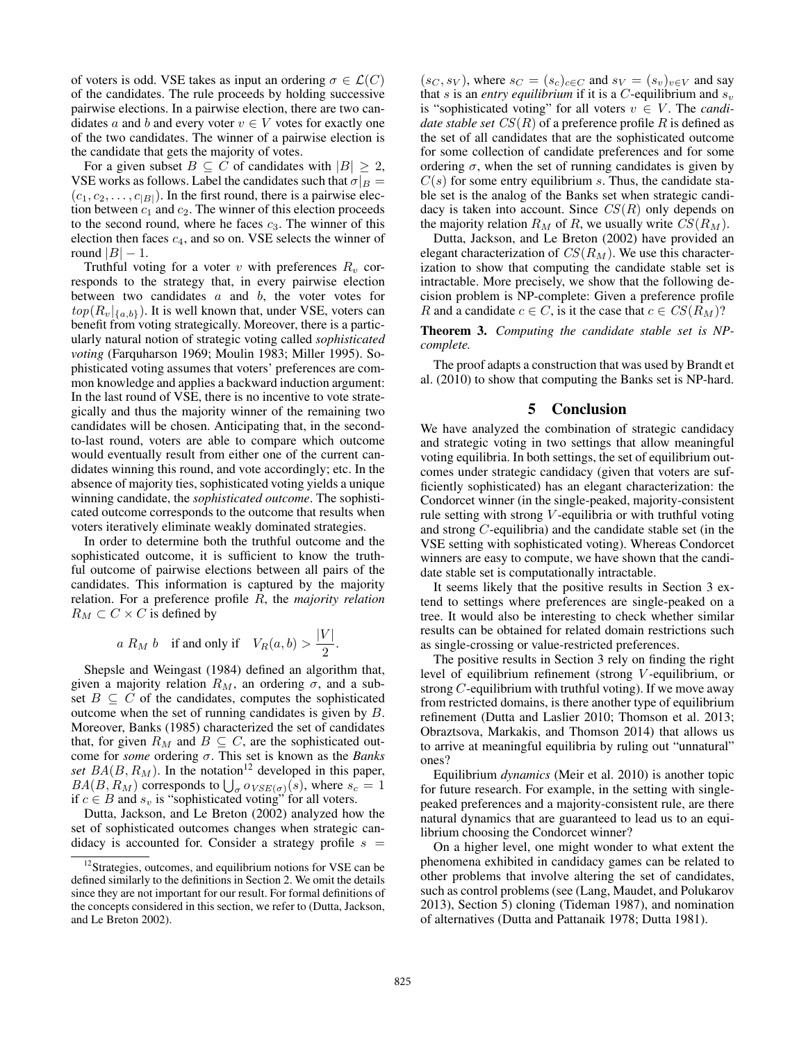of voters is odd. VSE takes as input an ordering  $\sigma \in \mathcal{L}(C)$ of the candidates. The rule proceeds by holding successive pairwise elections. In a pairwise election, there are two candidates a and b and every voter  $v \in V$  votes for exactly one of the two candidates. The winner of a pairwise election is the candidate that gets the majority of votes.

For a given subset  $B \subseteq C$  of candidates with  $|B| \geq 2$ , VSE works as follows. Label the candidates such that  $\sigma|_B =$  $(c_1, c_2, \ldots, c_{|B|})$ . In the first round, there is a pairwise election between  $c_1$  and  $c_2$ . The winner of this election proceeds to the second round, where he faces  $c_3$ . The winner of this election then faces  $c_4$ , and so on. VSE selects the winner of round  $|B| - 1$ .

Truthful voting for a voter v with preferences  $R_v$  corresponds to the strategy that, in every pairwise election between two candidates  $a$  and  $b$ , the voter votes for  $top(R_v|_{\{a,b\}})$ . It is well known that, under VSE, voters can benefit from voting strategically. Moreover, there is a particularly natural notion of strategic voting called *sophisticated voting* (Farquharson 1969; Moulin 1983; Miller 1995). Sophisticated voting assumes that voters' preferences are common knowledge and applies a backward induction argument: In the last round of VSE, there is no incentive to vote strategically and thus the majority winner of the remaining two candidates will be chosen. Anticipating that, in the secondto-last round, voters are able to compare which outcome would eventually result from either one of the current candidates winning this round, and vote accordingly; etc. In the absence of majority ties, sophisticated voting yields a unique winning candidate, the *sophisticated outcome*. The sophisticated outcome corresponds to the outcome that results when voters iteratively eliminate weakly dominated strategies.

In order to determine both the truthful outcome and the sophisticated outcome, it is sufficient to know the truthful outcome of pairwise elections between all pairs of the candidates. This information is captured by the majority relation. For a preference profile R, the *majority relation*  $R_M \subset C \times C$  is defined by

$$
a R_M b
$$
 if and only if  $V_R(a, b) > \frac{|V|}{2}$ .

Shepsle and Weingast (1984) defined an algorithm that, given a majority relation  $R_M$ , an ordering  $\sigma$ , and a subset  $B \subseteq C$  of the candidates, computes the sophisticated outcome when the set of running candidates is given by B. Moreover, Banks (1985) characterized the set of candidates that, for given  $R_M$  and  $B \subseteq C$ , are the sophisticated outcome for *some* ordering σ. This set is known as the *Banks set*  $BA(B, R_M)$ . In the notation<sup>12</sup> developed in this paper,  $BA(B, R_M)$  corresponds to  $\bigcup_{\sigma} o_{VSE(\sigma)}(s)$ , where  $s_c = 1$ if  $c \in B$  and  $s_v$  is "sophisticated voting" for all voters.

Dutta, Jackson, and Le Breton (2002) analyzed how the set of sophisticated outcomes changes when strategic candidacy is accounted for. Consider a strategy profile  $s =$ 

 $(s_C, s_V)$ , where  $s_C = (s_c)_{c \in C}$  and  $s_V = (s_v)_{v \in V}$  and say that s is an *entry equilibrium* if it is a *C*-equilibrium and  $s_v$ is "sophisticated voting" for all voters  $v \in V$ . The *candidate stable set*  $CS(R)$  of a preference profile R is defined as the set of all candidates that are the sophisticated outcome for some collection of candidate preferences and for some ordering  $\sigma$ , when the set of running candidates is given by  $C(s)$  for some entry equilibrium s. Thus, the candidate stable set is the analog of the Banks set when strategic candidacy is taken into account. Since  $CS(R)$  only depends on the majority relation  $R_M$  of R, we usually write  $CS(R_M)$ .

Dutta, Jackson, and Le Breton (2002) have provided an elegant characterization of  $CS(R_M)$ . We use this characterization to show that computing the candidate stable set is intractable. More precisely, we show that the following decision problem is NP-complete: Given a preference profile R and a candidate  $c \in C$ , is it the case that  $c \in CS(R_M)$ ?

Theorem 3. *Computing the candidate stable set is NPcomplete.*

The proof adapts a construction that was used by Brandt et al. (2010) to show that computing the Banks set is NP-hard.

#### 5 Conclusion

We have analyzed the combination of strategic candidacy and strategic voting in two settings that allow meaningful voting equilibria. In both settings, the set of equilibrium outcomes under strategic candidacy (given that voters are sufficiently sophisticated) has an elegant characterization: the Condorcet winner (in the single-peaked, majority-consistent rule setting with strong  $V$ -equilibria or with truthful voting and strong C-equilibria) and the candidate stable set (in the VSE setting with sophisticated voting). Whereas Condorcet winners are easy to compute, we have shown that the candidate stable set is computationally intractable.

It seems likely that the positive results in Section 3 extend to settings where preferences are single-peaked on a tree. It would also be interesting to check whether similar results can be obtained for related domain restrictions such as single-crossing or value-restricted preferences.

The positive results in Section 3 rely on finding the right level of equilibrium refinement (strong V -equilibrium, or strong  $C$ -equilibrium with truthful voting). If we move away from restricted domains, is there another type of equilibrium refinement (Dutta and Laslier 2010; Thomson et al. 2013; Obraztsova, Markakis, and Thomson 2014) that allows us to arrive at meaningful equilibria by ruling out "unnatural" ones?

Equilibrium *dynamics* (Meir et al. 2010) is another topic for future research. For example, in the setting with singlepeaked preferences and a majority-consistent rule, are there natural dynamics that are guaranteed to lead us to an equilibrium choosing the Condorcet winner?

On a higher level, one might wonder to what extent the phenomena exhibited in candidacy games can be related to other problems that involve altering the set of candidates, such as control problems (see (Lang, Maudet, and Polukarov 2013), Section 5) cloning (Tideman 1987), and nomination of alternatives (Dutta and Pattanaik 1978; Dutta 1981).

<sup>&</sup>lt;sup>12</sup>Strategies, outcomes, and equilibrium notions for VSE can be defined similarly to the definitions in Section 2. We omit the details since they are not important for our result. For formal definitions of the concepts considered in this section, we refer to (Dutta, Jackson, and Le Breton 2002).